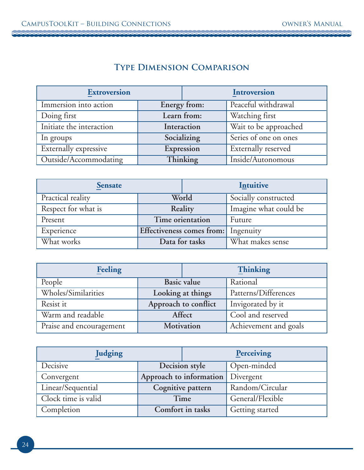## **Type Dimension Comparison**

| <b>Extroversion</b>      |             |              | <b>Introversion</b>   |
|--------------------------|-------------|--------------|-----------------------|
| Immersion into action    |             | Energy from: | Peaceful withdrawal   |
| Doing first              | Learn from: |              | Watching first        |
| Initiate the interaction | Interaction |              | Wait to be approached |
| In groups                |             | Socializing  | Series of one on ones |
| Externally expressive    | Expression  |              | Externally reserved   |
| Outside/Accommodating    |             | Thinking     | Inside/Autonomous     |

| <b>Sensate</b>      |                                     | Intuitive      |                       |
|---------------------|-------------------------------------|----------------|-----------------------|
| Practical reality   | World                               |                | Socially constructed  |
| Respect for what is | Reality                             |                | Imagine what could be |
| Present             | Time orientation                    |                | Future                |
| Experience          | Effectiveness comes from: Ingenuity |                |                       |
| What works          |                                     | Data for tasks | What makes sense      |

| <b>Feeling</b>           |                      | <b>Thinking</b> |                       |
|--------------------------|----------------------|-----------------|-----------------------|
| People                   | Basic value          |                 | Rational              |
| Wholes/Similarities      | Looking at things    |                 | Patterns/Differences  |
| Resist it                | Approach to conflict |                 | Invigorated by it     |
| Warm and readable        | Affect               |                 | Cool and reserved     |
| Praise and encouragement | Motivation           |                 | Achievement and goals |

| Judging             |                         | Perceiving |                  |
|---------------------|-------------------------|------------|------------------|
| Decisive            | Decision style          |            | Open-minded      |
| Convergent          | Approach to information |            | <b>Divergent</b> |
| Linear/Sequential   | Cognitive pattern       |            | Random/Circular  |
| Clock time is valid | Time                    |            | General/Flexible |
| Completion          | Comfort in tasks        |            | Getting started  |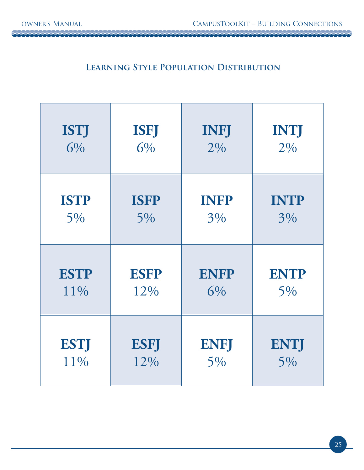2002

10000000000000000000000000

## **Learning Style Population Distribution**

| <b>ISTJ</b> | <b>ISFJ</b> | <b>INFJ</b> | <b>INTJ</b> |
|-------------|-------------|-------------|-------------|
| 6%          | 6%          | 2%          | 2%          |
| <b>ISTP</b> | <b>ISFP</b> | <b>INFP</b> | <b>INTP</b> |
| 5%          | 5%          | 3%          | 3%          |
| <b>ESTP</b> | <b>ESFP</b> | <b>ENFP</b> | <b>ENTP</b> |
| 11%         | 12%         | 6%          | 5%          |
| <b>ESTJ</b> | <b>ESFJ</b> | <b>ENFJ</b> | <b>ENTJ</b> |
| 11%         | 12%         | 5%          | 5%          |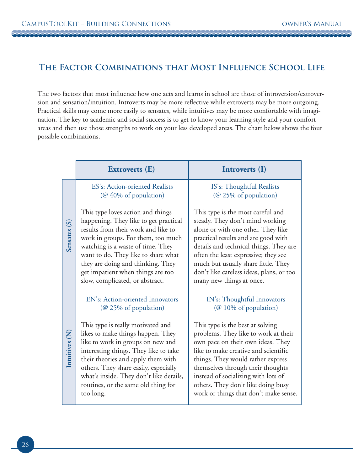## **The Factor Combinations that Most Influence School Life**

The two factors that most influence how one acts and learns in school are those of introversion/extroversion and sensation/intuition. Introverts may be more reflective while extroverts may be more outgoing. Practical skills may come more easily to sensates, while intuitives may be more comfortable with imagination. The key to academic and social success is to get to know your learning style and your comfort areas and then use those strengths to work on your less developed areas. The chart below shows the four possible combinations.

|                | <b>Extroverts</b> (E)                                                                                                                                                                                                                                                                                                                            | Introverts (I)                                                                                                                                                                                                                                                                                                                                        |
|----------------|--------------------------------------------------------------------------------------------------------------------------------------------------------------------------------------------------------------------------------------------------------------------------------------------------------------------------------------------------|-------------------------------------------------------------------------------------------------------------------------------------------------------------------------------------------------------------------------------------------------------------------------------------------------------------------------------------------------------|
|                | ES's: Action-oriented Realists<br>( $@$ 40% of population)                                                                                                                                                                                                                                                                                       | IS's: Thoughtful Realists<br>(@ 25% of population)                                                                                                                                                                                                                                                                                                    |
| Sensates (S)   | This type loves action and things<br>happening. They like to get practical<br>results from their work and like to<br>work in groups. For them, too much<br>watching is a waste of time. They<br>want to do. They like to share what<br>they are doing and thinking. They<br>get impatient when things are too<br>slow, complicated, or abstract. | This type is the most careful and<br>steady. They don't mind working<br>alone or with one other. They like<br>practical results and are good with<br>details and technical things. They are<br>often the least expressive; they see<br>much but usually share little. They<br>don't like careless ideas, plans, or too<br>many new things at once.    |
|                | EN's: Action-oriented Innovators<br>(@ 25% of population)                                                                                                                                                                                                                                                                                        | IN's: Thoughtful Innovators<br>(@ 10% of population)                                                                                                                                                                                                                                                                                                  |
| Intuitives (N) | This type is really motivated and<br>likes to make things happen. They<br>like to work in groups on new and<br>interesting things. They like to take<br>their theories and apply them with<br>others. They share easily, especially<br>what's inside. They don't like details,<br>routines, or the same old thing for<br>too long.               | This type is the best at solving<br>problems. They like to work at their<br>own pace on their own ideas. They<br>like to make creative and scientific<br>things. They would rather express<br>themselves through their thoughts<br>instead of socializing with lots of<br>others. They don't like doing busy<br>work or things that don't make sense. |